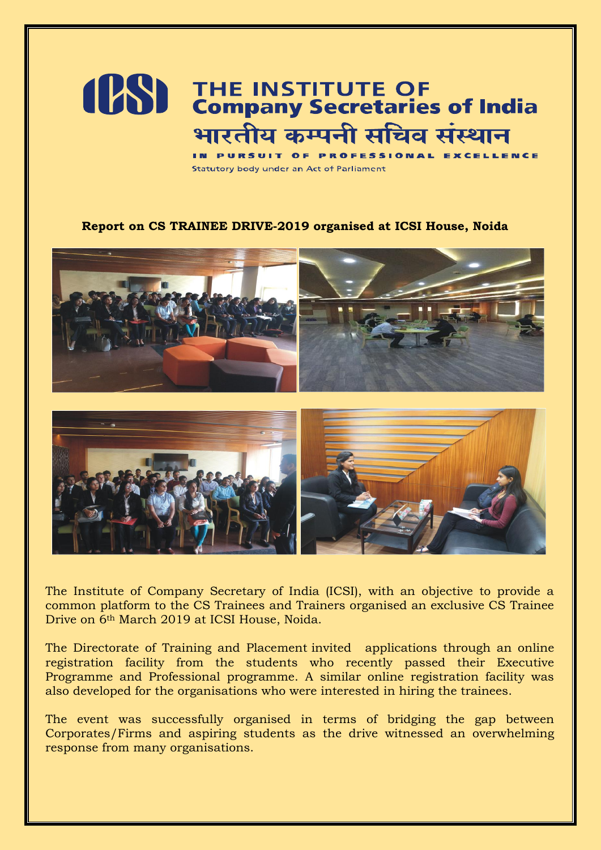## **(PS)** THE INSTITUTE OF<br> **Company Secretaries of India** भारतीय कम्पनी सचिव संस्थान

**RSUIT OF PROFESSIONAL EXCELLENCE B** INC. Statutory body under an Act of Parliament

## **Report on CS TRAINEE DRIVE-2019 organised at ICSI House, Noida**



The Institute of Company Secretary of India (ICSI), with an objective to provide a common platform to the CS Trainees and Trainers organised an exclusive CS Trainee Drive on 6th March 2019 at ICSI House, Noida.

The Directorate of Training and Placement invited applications through an online registration facility from the students who recently passed their Executive Programme and Professional programme. A similar online registration facility was also developed for the organisations who were interested in hiring the trainees.

The event was successfully organised in terms of bridging the gap between Corporates/Firms and aspiring students as the drive witnessed an overwhelming response from many organisations.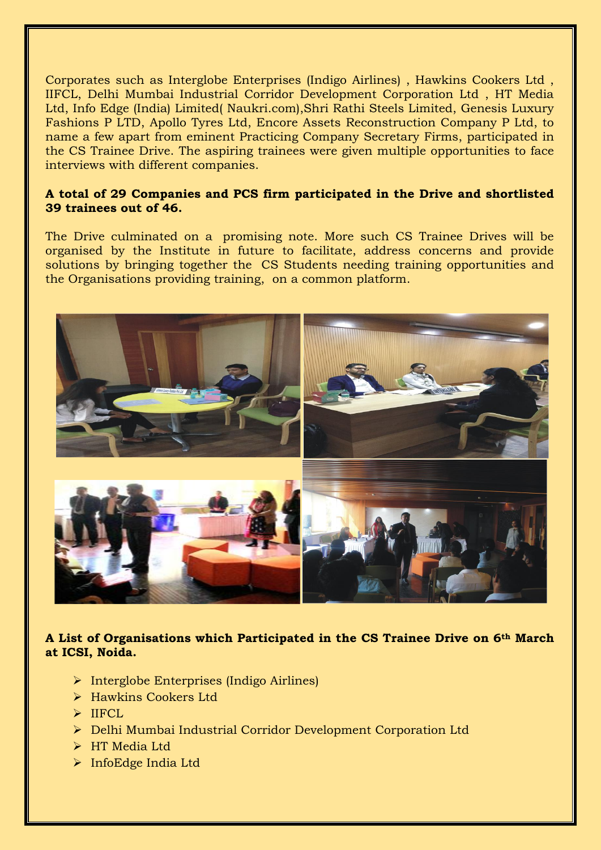Corporates such as Interglobe Enterprises (Indigo Airlines) , Hawkins Cookers Ltd , IIFCL, Delhi Mumbai Industrial Corridor Development Corporation Ltd , HT Media Ltd, [Info Edge \(India\) Limited\( Naukri.com\),Shri Rathi Steels Limited, Genesis Luxury](http://www.infoedge.in/)  [Fashions P LTD, Apollo Tyres Ltd, Encore Assets Reconstruction Company P Ltd, to](http://www.infoedge.in/)  [name a few a](http://www.infoedge.in/)part from eminent Practicing Company Secretary Firms, participated in the CS Trainee Drive. The aspiring trainees were given multiple opportunities to face interviews with different companies.

## **A total of 29 Companies and PCS firm participated in the Drive and shortlisted 39 trainees out of 46.**

The Drive culminated on a promising note. More such CS Trainee Drives will be organised by the Institute in future to facilitate, address concerns and provide solutions by bringing together the CS Students needing training opportunities and the Organisations providing training, on a common platform.



**A List of Organisations which Participated in the CS Trainee Drive on 6th March at ICSI, Noida.**

- $\triangleright$  Interglobe Enterprises (Indigo Airlines)
- > Hawkins Cookers Ltd
- $\triangleright$  IIFCL
- Delhi Mumbai Industrial Corridor Development Corporation Ltd
- > HT Media Ltd
- > InfoEdge India Ltd